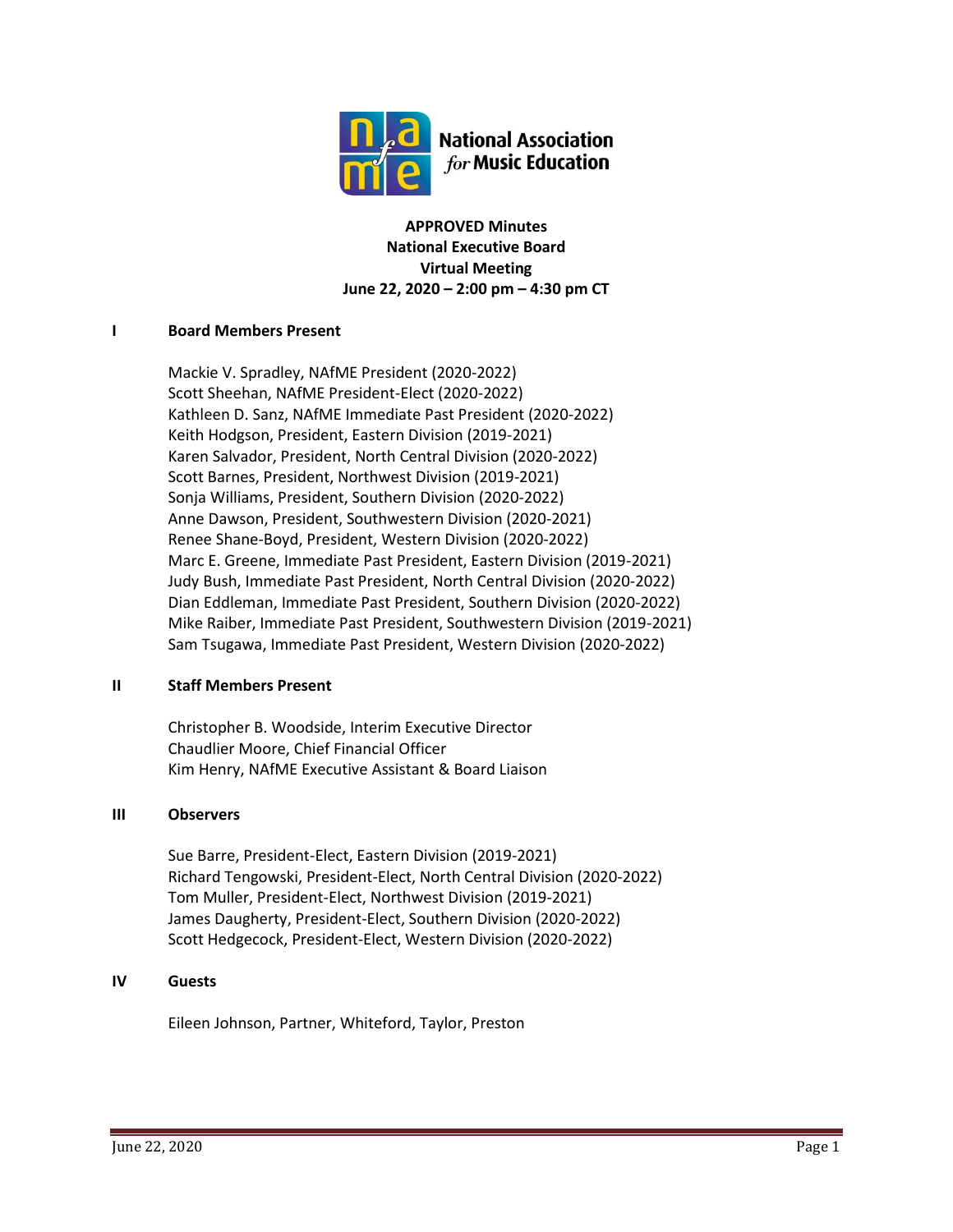

**APPROVED Minutes National Executive Board Virtual Meeting June 22, 2020 – 2:00 pm – 4:30 pm CT**

### **I Board Members Present**

Mackie V. Spradley, NAfME President (2020-2022) Scott Sheehan, NAfME President-Elect (2020-2022) Kathleen D. Sanz, NAfME Immediate Past President (2020-2022) Keith Hodgson, President, Eastern Division (2019-2021) Karen Salvador, President, North Central Division (2020-2022) Scott Barnes, President, Northwest Division (2019-2021) Sonja Williams, President, Southern Division (2020-2022) Anne Dawson, President, Southwestern Division (2020-2021) Renee Shane-Boyd, President, Western Division (2020-2022) Marc E. Greene, Immediate Past President, Eastern Division (2019-2021) Judy Bush, Immediate Past President, North Central Division (2020-2022) Dian Eddleman, Immediate Past President, Southern Division (2020-2022) Mike Raiber, Immediate Past President, Southwestern Division (2019-2021) Sam Tsugawa, Immediate Past President, Western Division (2020-2022)

#### **II Staff Members Present**

Christopher B. Woodside, Interim Executive Director Chaudlier Moore, Chief Financial Officer Kim Henry, NAfME Executive Assistant & Board Liaison

#### **III Observers**

Sue Barre, President-Elect, Eastern Division (2019-2021) Richard Tengowski, President-Elect, North Central Division (2020-2022) Tom Muller, President-Elect, Northwest Division (2019-2021) James Daugherty, President-Elect, Southern Division (2020-2022) Scott Hedgecock, President-Elect, Western Division (2020-2022)

### **IV Guests**

Eileen Johnson, Partner, Whiteford, Taylor, Preston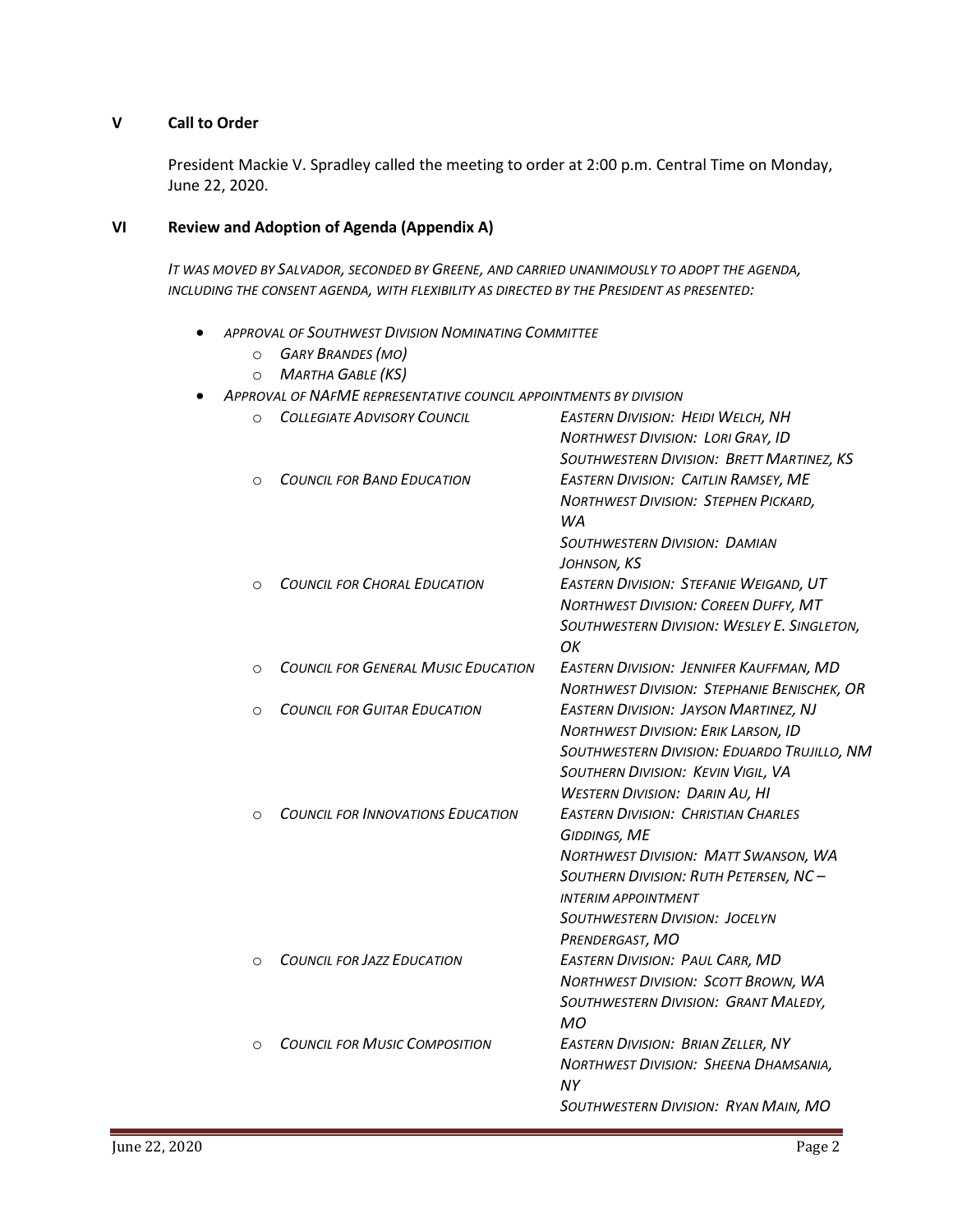## **V Call to Order**

President Mackie V. Spradley called the meeting to order at 2:00 p.m. Central Time on Monday, June 22, 2020.

### **VI Review and Adoption of Agenda (Appendix A)**

*IT WAS MOVED BY SALVADOR, SECONDED BY GREENE, AND CARRIED UNANIMOUSLY TO ADOPT THE AGENDA, INCLUDING THE CONSENT AGENDA, WITH FLEXIBILITY AS DIRECTED BY THE PRESIDENT AS PRESENTED:*

- *APPROVAL OF SOUTHWEST DIVISION NOMINATING COMMITTEE*
	- o *GARY BRANDES (MO)*
	- o *MARTHA GABLE (KS)*
- *APPROVAL OF NAFME REPRESENTATIVE COUNCIL APPOINTMENTS BY DIVISION*

| O        | <b>COLLEGIATE ADVISORY COUNCIL</b>         | <b>EASTERN DIVISION: HEIDI WELCH, NH</b><br><b>NORTHWEST DIVISION: LORI GRAY, ID</b> |
|----------|--------------------------------------------|--------------------------------------------------------------------------------------|
|          |                                            | SOUTHWESTERN DIVISION: BRETT MARTINEZ, KS                                            |
| $\Omega$ | <b>COUNCIL FOR BAND EDUCATION</b>          | <b>EASTERN DIVISION: CAITLIN RAMSEY, ME</b>                                          |
|          |                                            | <b>NORTHWEST DIVISION: STEPHEN PICKARD,</b>                                          |
|          |                                            | WA                                                                                   |
|          |                                            | <b>SOUTHWESTERN DIVISION: DAMIAN</b>                                                 |
|          |                                            | JOHNSON, KS                                                                          |
| $\Omega$ | <b>COUNCIL FOR CHORAL EDUCATION</b>        | <b>EASTERN DIVISION: STEFANIE WEIGAND, UT</b>                                        |
|          |                                            | <b>NORTHWEST DIVISION: COREEN DUFFY, MT</b>                                          |
|          |                                            | SOUTHWESTERN DIVISION: WESLEY E. SINGLETON,                                          |
|          |                                            | OK                                                                                   |
| O        | <b>COUNCIL FOR GENERAL MUSIC EDUCATION</b> | EASTERN DIVISION: JENNIFER KAUFFMAN, MD                                              |
|          |                                            | NORTHWEST DIVISION: STEPHANIE BENISCHEK, OR                                          |
| O        | <b>COUNCIL FOR GUITAR EDUCATION</b>        | <b>EASTERN DIVISION: JAYSON MARTINEZ, NJ</b>                                         |
|          |                                            | <b>NORTHWEST DIVISION: ERIK LARSON, ID</b>                                           |
|          |                                            | SOUTHWESTERN DIVISION: EDUARDO TRUJILLO, NM                                          |
|          |                                            | SOUTHERN DIVISION: KEVIN VIGIL, VA                                                   |
|          |                                            | <b>WESTERN DIVISION: DARIN AU, HI</b>                                                |
| $\circ$  | <b>COUNCIL FOR INNOVATIONS EDUCATION</b>   | <b>EASTERN DIVISION: CHRISTIAN CHARLES</b>                                           |
|          |                                            | <b>GIDDINGS, ME</b>                                                                  |
|          |                                            | <b>NORTHWEST DIVISION: MATT SWANSON, WA</b>                                          |
|          |                                            | SOUTHERN DIVISION: RUTH PETERSEN, NC-                                                |
|          |                                            | <b>INTERIM APPOINTMENT</b>                                                           |
|          |                                            | <b>SOUTHWESTERN DIVISION: JOCELYN</b>                                                |
|          |                                            | PRENDERGAST, MO                                                                      |
| O        | <b>COUNCIL FOR JAZZ EDUCATION</b>          | <b>EASTERN DIVISION: PAUL CARR, MD</b>                                               |
|          |                                            | <b>NORTHWEST DIVISION: SCOTT BROWN, WA</b>                                           |
|          |                                            | SOUTHWESTERN DIVISION: GRANT MALEDY,                                                 |
|          |                                            | <b>MO</b>                                                                            |
| O        | <b>COUNCIL FOR MUSIC COMPOSITION</b>       | <b>EASTERN DIVISION: BRIAN ZELLER, NY</b>                                            |
|          |                                            | NORTHWEST DIVISION: SHEENA DHAMSANIA,<br><b>NY</b>                                   |
|          |                                            | SOUTHWESTERN DIVISION: RYAN MAIN, MO                                                 |
|          |                                            |                                                                                      |
|          |                                            |                                                                                      |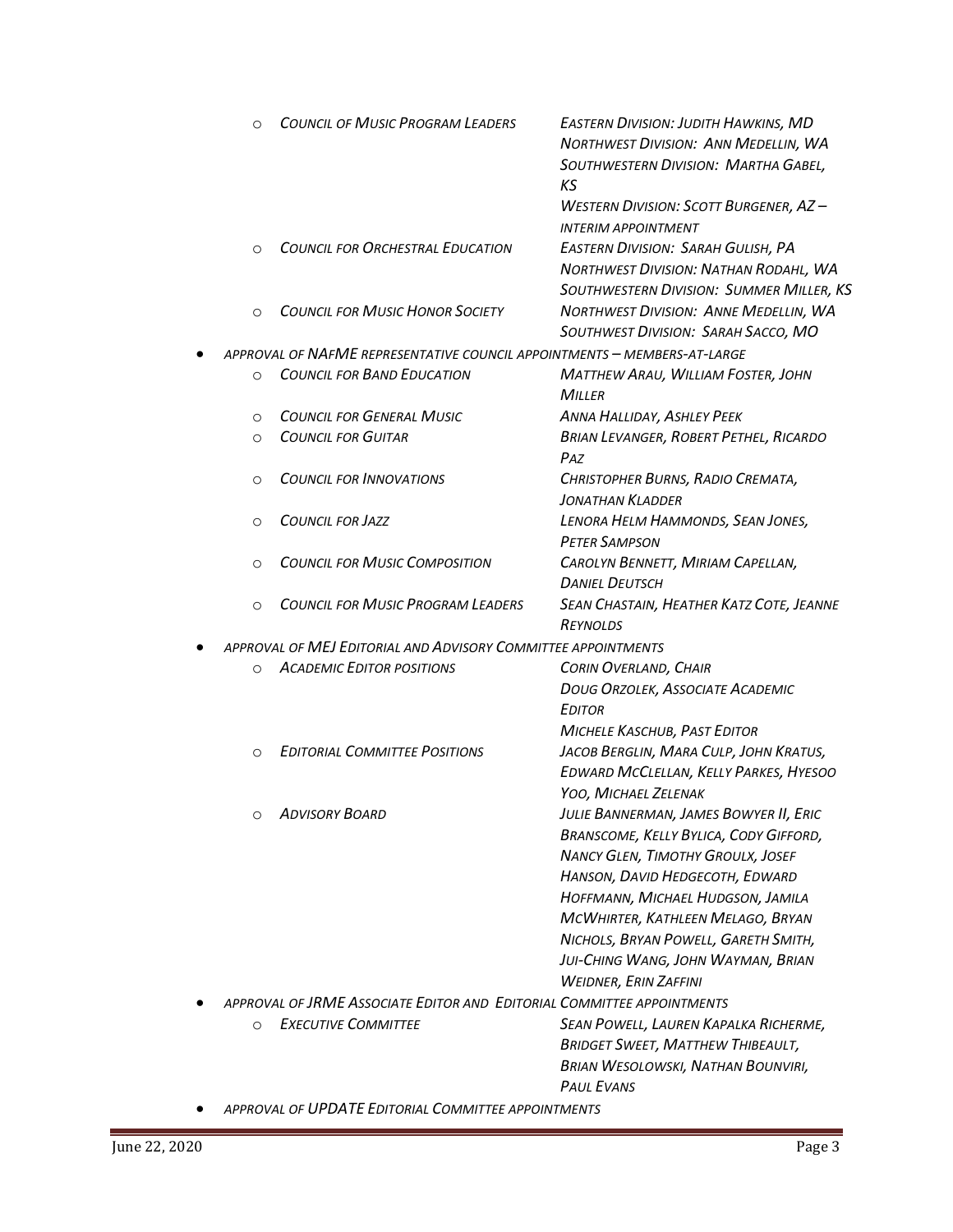| $\Omega$                                                      | <b>COUNCIL OF MUSIC PROGRAM LEADERS</b>                                  | <b>EASTERN DIVISION: JUDITH HAWKINS, MD</b><br>NORTHWEST DIVISION: ANN MEDELLIN, WA<br>SOUTHWESTERN DIVISION: MARTHA GABEL,<br>ΚS |  |
|---------------------------------------------------------------|--------------------------------------------------------------------------|-----------------------------------------------------------------------------------------------------------------------------------|--|
|                                                               |                                                                          | <b>WESTERN DIVISION: SCOTT BURGENER, AZ-</b><br><b>INTERIM APPOINTMENT</b>                                                        |  |
| $\Omega$                                                      | <b>COUNCIL FOR ORCHESTRAL EDUCATION</b>                                  | <b>EASTERN DIVISION: SARAH GULISH, PA</b><br>NORTHWEST DIVISION: NATHAN RODAHL, WA<br>SOUTHWESTERN DIVISION: SUMMER MILLER, KS    |  |
| $\Omega$                                                      | <b>COUNCIL FOR MUSIC HONOR SOCIETY</b>                                   | NORTHWEST DIVISION: ANNE MEDELLIN, WA<br>SOUTHWEST DIVISION: SARAH SACCO, MO                                                      |  |
|                                                               | APPROVAL OF NAFME REPRESENTATIVE COUNCIL APPOINTMENTS - MEMBERS-AT-LARGE |                                                                                                                                   |  |
| $\circ$                                                       | <b>COUNCIL FOR BAND EDUCATION</b>                                        | MATTHEW ARAU, WILLIAM FOSTER, JOHN<br>MILLER                                                                                      |  |
| $\circ$                                                       | <b>COUNCIL FOR GENERAL MUSIC</b>                                         | ANNA HALLIDAY, ASHLEY PEEK                                                                                                        |  |
| $\circ$                                                       | <b>COUNCIL FOR GUITAR</b>                                                | <b>BRIAN LEVANGER, ROBERT PETHEL, RICARDO</b><br>PAZ                                                                              |  |
| $\Omega$                                                      | <b>COUNCIL FOR INNOVATIONS</b>                                           | CHRISTOPHER BURNS, RADIO CREMATA,<br><b>JONATHAN KLADDER</b>                                                                      |  |
| $\Omega$                                                      | <b>COUNCIL FOR JAZZ</b>                                                  | LENORA HELM HAMMONDS, SEAN JONES,<br><b>PETER SAMPSON</b>                                                                         |  |
| $\circ$                                                       | <b>COUNCIL FOR MUSIC COMPOSITION</b>                                     | CAROLYN BENNETT, MIRIAM CAPELLAN,<br><b>DANIEL DEUTSCH</b>                                                                        |  |
| $\circ$                                                       | <b>COUNCIL FOR MUSIC PROGRAM LEADERS</b>                                 | SEAN CHASTAIN, HEATHER KATZ COTE, JEANNE<br><b>REYNOLDS</b>                                                                       |  |
| APPROVAL OF MEJ EDITORIAL AND ADVISORY COMMITTEE APPOINTMENTS |                                                                          |                                                                                                                                   |  |
| $\circ$                                                       | <b>ACADEMIC EDITOR POSITIONS</b>                                         | CORIN OVERLAND, CHAIR                                                                                                             |  |
|                                                               |                                                                          | DOUG ORZOLEK, ASSOCIATE ACADEMIC                                                                                                  |  |
|                                                               |                                                                          | <b>EDITOR</b>                                                                                                                     |  |
|                                                               |                                                                          | <b>MICHELE KASCHUB, PAST EDITOR</b>                                                                                               |  |
| $\Omega$                                                      | <b>EDITORIAL COMMITTEE POSITIONS</b>                                     | JACOB BERGLIN, MARA CULP, JOHN KRATUS,<br>EDWARD MCCLELLAN, KELLY PARKES, HYESOO                                                  |  |
|                                                               |                                                                          | YOO, MICHAEL ZELENAK                                                                                                              |  |
| $\circ$                                                       | <b>ADVISORY BOARD</b>                                                    | JULIE BANNERMAN, JAMES BOWYER II, ERIC                                                                                            |  |
|                                                               |                                                                          | BRANSCOME, KELLY BYLICA, CODY GIFFORD,<br><b>NANCY GLEN, TIMOTHY GROULX, JOSEF</b>                                                |  |
|                                                               |                                                                          | HANSON, DAVID HEDGECOTH, EDWARD                                                                                                   |  |
|                                                               |                                                                          | HOFFMANN, MICHAEL HUDGSON, JAMILA                                                                                                 |  |
|                                                               |                                                                          | MCWHIRTER, KATHLEEN MELAGO, BRYAN                                                                                                 |  |
|                                                               |                                                                          | NICHOLS, BRYAN POWELL, GARETH SMITH,                                                                                              |  |
|                                                               |                                                                          | JUI-CHING WANG, JOHN WAYMAN, BRIAN                                                                                                |  |
|                                                               |                                                                          | <b>WEIDNER, ERIN ZAFFINI</b>                                                                                                      |  |
|                                                               | APPROVAL OF JRME ASSOCIATE EDITOR AND EDITORIAL COMMITTEE APPOINTMENTS   |                                                                                                                                   |  |
| $\circ$                                                       | <b>EXECUTIVE COMMITTEE</b>                                               | SEAN POWELL, LAUREN KAPALKA RICHERME,                                                                                             |  |
|                                                               |                                                                          | <b>BRIDGET SWEET, MATTHEW THIBEAULT,</b>                                                                                          |  |
|                                                               |                                                                          | <b>BRIAN WESOLOWSKI, NATHAN BOUNVIRI,</b>                                                                                         |  |
|                                                               |                                                                          | <b>PAUL EVANS</b>                                                                                                                 |  |
|                                                               | APPROVAL OF UPDATE EDITORIAL COMMITTEE APPOINTMENTS                      |                                                                                                                                   |  |

÷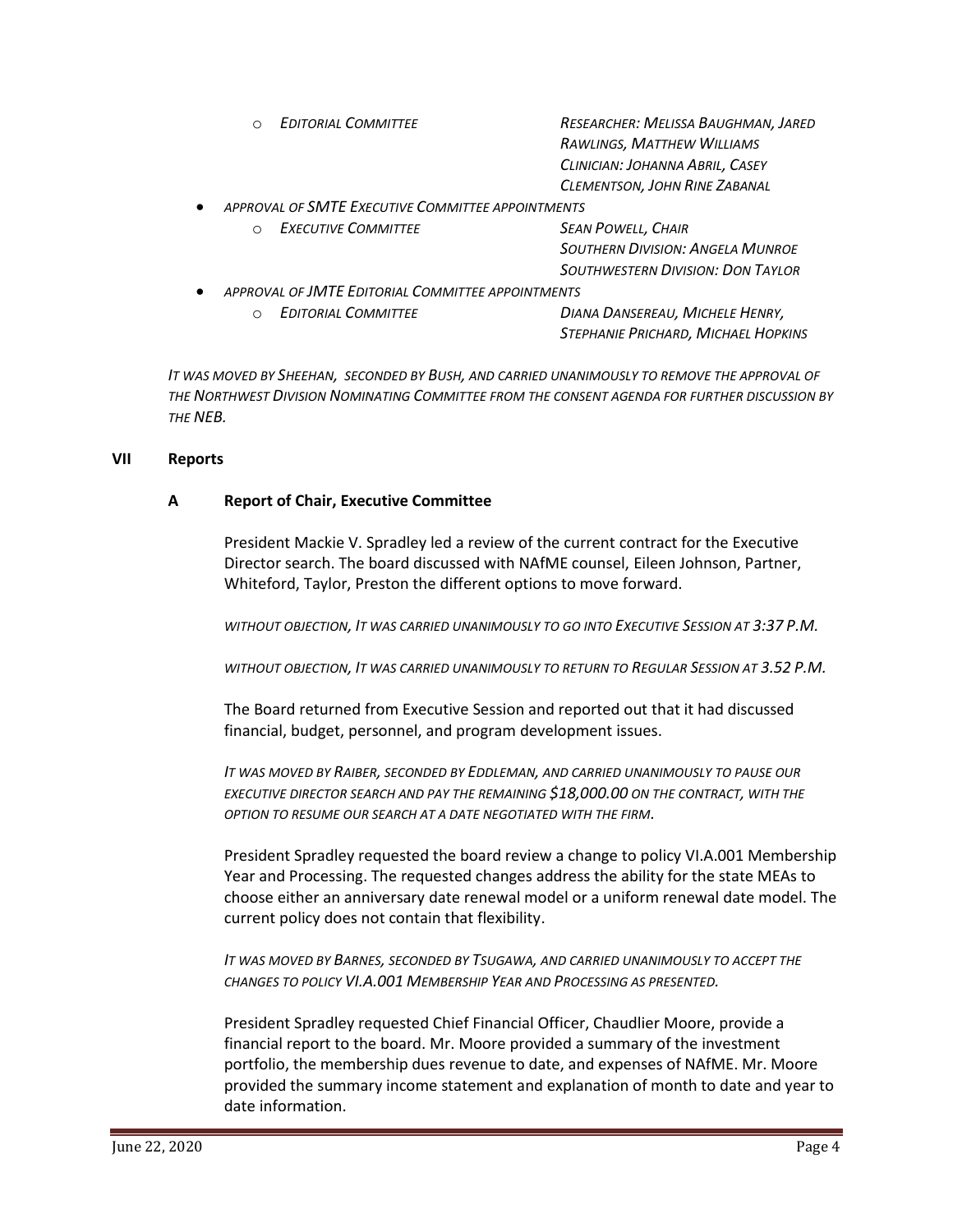|           | <b>EDITORIAL COMMITTEE</b><br>$\bigcap$           | RESEARCHER: MELISSA BAUGHMAN, JARED      |  |
|-----------|---------------------------------------------------|------------------------------------------|--|
|           |                                                   | RAWLINGS, MATTHEW WILLIAMS               |  |
|           |                                                   | CLINICIAN: JOHANNA ABRIL, CASEY          |  |
|           |                                                   | CLEMENTSON, JOHN RINE ZABANAL            |  |
| $\bullet$ | APPROVAL OF SMTE EXECUTIVE COMMITTEE APPOINTMENTS |                                          |  |
|           | <b>EXECUTIVE COMMITTEE</b><br>$\bigcap$           | <b>SEAN POWELL, CHAIR</b>                |  |
|           |                                                   | <b>SOUTHERN DIVISION: ANGELA MUNROE</b>  |  |
|           |                                                   | <b>SOUTHWESTERN DIVISION: DON TAYLOR</b> |  |
| $\bullet$ | APPROVAL OF JMTE EDITORIAL COMMITTEE APPOINTMENTS |                                          |  |
|           | <b>EDITORIAL COMMITTEE</b>                        | DIANA DANSEREAU, MICHELE HENRY,          |  |

*IT WAS MOVED BY SHEEHAN, SECONDED BY BUSH, AND CARRIED UNANIMOUSLY TO REMOVE THE APPROVAL OF THE NORTHWEST DIVISION NOMINATING COMMITTEE FROM THE CONSENT AGENDA FOR FURTHER DISCUSSION BY THE NEB.*

*STEPHANIE PRICHARD, MICHAEL HOPKINS*

### **VII Reports**

### **A Report of Chair, Executive Committee**

President Mackie V. Spradley led a review of the current contract for the Executive Director search. The board discussed with NAfME counsel, Eileen Johnson, Partner, Whiteford, Taylor, Preston the different options to move forward.

*WITHOUT OBJECTION, IT WAS CARRIED UNANIMOUSLY TO GO INTO EXECUTIVE SESSION AT 3:37 P.M.*

*WITHOUT OBJECTION, IT WAS CARRIED UNANIMOUSLY TO RETURN TO REGULAR SESSION AT 3.52 P.M.*

The Board returned from Executive Session and reported out that it had discussed financial, budget, personnel, and program development issues.

*IT WAS MOVED BY RAIBER, SECONDED BY EDDLEMAN, AND CARRIED UNANIMOUSLY TO PAUSE OUR EXECUTIVE DIRECTOR SEARCH AND PAY THE REMAINING \$18,000.00 ON THE CONTRACT, WITH THE OPTION TO RESUME OUR SEARCH AT A DATE NEGOTIATED WITH THE FIRM.*

President Spradley requested the board review a change to policy VI.A.001 Membership Year and Processing. The requested changes address the ability for the state MEAs to choose either an anniversary date renewal model or a uniform renewal date model. The current policy does not contain that flexibility.

*IT WAS MOVED BY BARNES, SECONDED BY TSUGAWA, AND CARRIED UNANIMOUSLY TO ACCEPT THE CHANGES TO POLICY VI.A.001 MEMBERSHIP YEAR AND PROCESSING AS PRESENTED.*

President Spradley requested Chief Financial Officer, Chaudlier Moore, provide a financial report to the board. Mr. Moore provided a summary of the investment portfolio, the membership dues revenue to date, and expenses of NAfME. Mr. Moore provided the summary income statement and explanation of month to date and year to date information.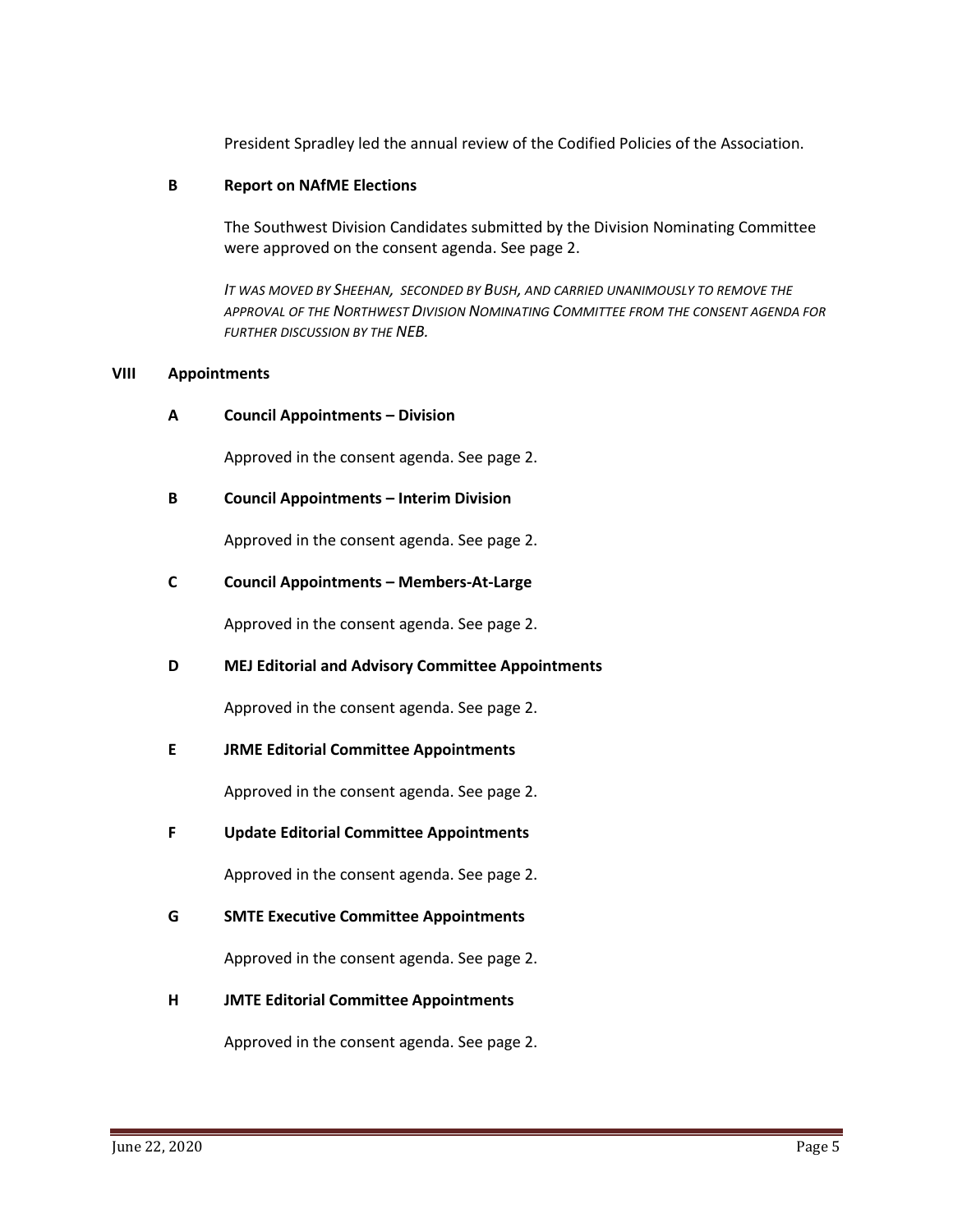President Spradley led the annual review of the Codified Policies of the Association.

### **B Report on NAfME Elections**

The Southwest Division Candidates submitted by the Division Nominating Committee were approved on the consent agenda. See page 2.

*IT WAS MOVED BY SHEEHAN, SECONDED BY BUSH, AND CARRIED UNANIMOUSLY TO REMOVE THE APPROVAL OF THE NORTHWEST DIVISION NOMINATING COMMITTEE FROM THE CONSENT AGENDA FOR FURTHER DISCUSSION BY THE NEB.*

### **VIII Appointments**

**A Council Appointments – Division**

Approved in the consent agenda. See page 2.

**B Council Appointments – Interim Division**

Approved in the consent agenda. See page 2.

## **C Council Appointments – Members-At-Large**

Approved in the consent agenda. See page 2.

### **D MEJ Editorial and Advisory Committee Appointments**

Approved in the consent agenda. See page 2.

### **E JRME Editorial Committee Appointments**

Approved in the consent agenda. See page 2.

**F Update Editorial Committee Appointments**

Approved in the consent agenda. See page 2.

**G SMTE Executive Committee Appointments**

Approved in the consent agenda. See page 2.

**H JMTE Editorial Committee Appointments**

Approved in the consent agenda. See page 2.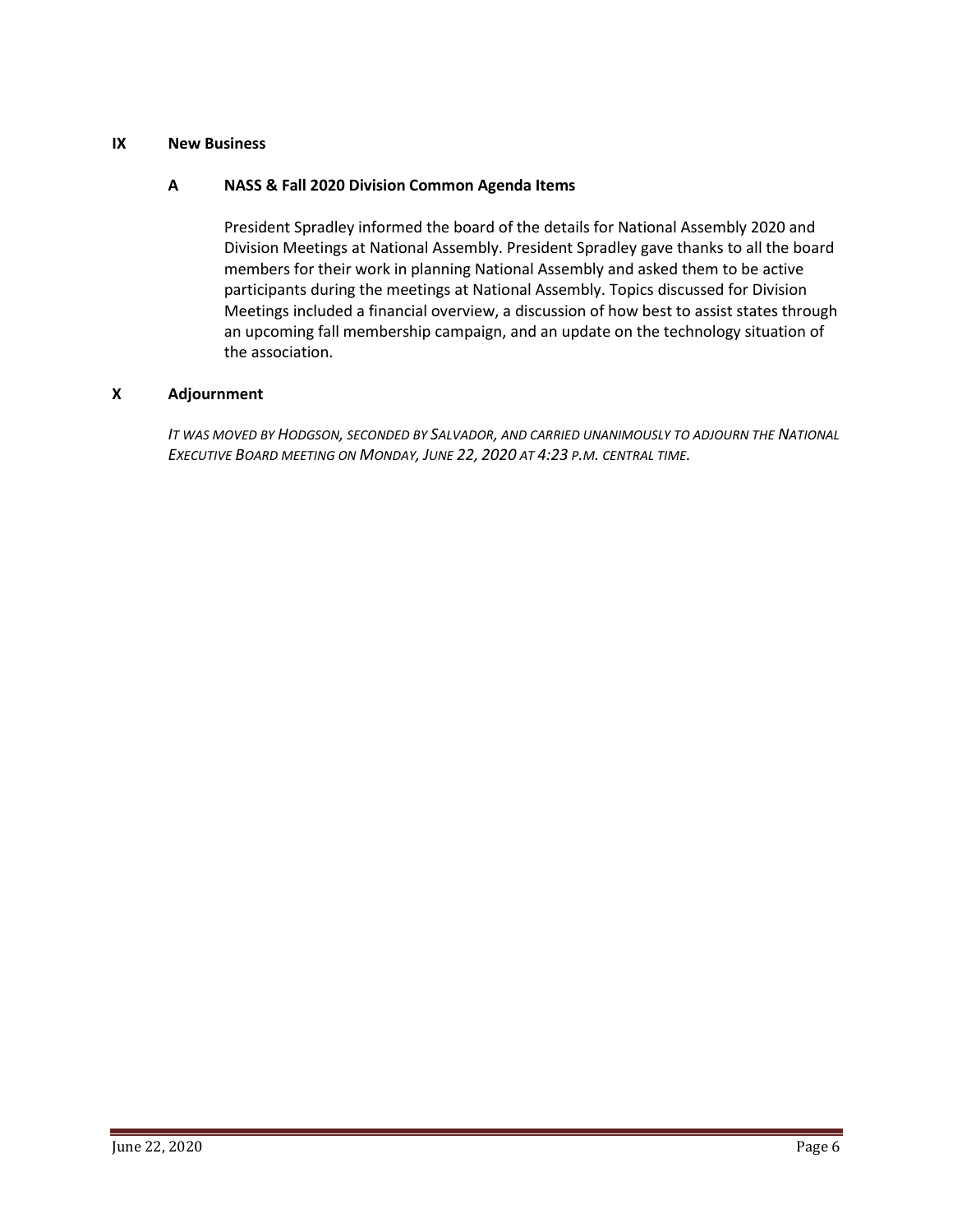### **IX New Business**

### **A NASS & Fall 2020 Division Common Agenda Items**

President Spradley informed the board of the details for National Assembly 2020 and Division Meetings at National Assembly. President Spradley gave thanks to all the board members for their work in planning National Assembly and asked them to be active participants during the meetings at National Assembly. Topics discussed for Division Meetings included a financial overview, a discussion of how best to assist states through an upcoming fall membership campaign, and an update on the technology situation of the association.

### **X Adjournment**

*IT WAS MOVED BY HODGSON, SECONDED BY SALVADOR, AND CARRIED UNANIMOUSLY TO ADJOURN THE NATIONAL EXECUTIVE BOARD MEETING ON MONDAY, JUNE 22, 2020 AT 4:23 P.M. CENTRAL TIME.*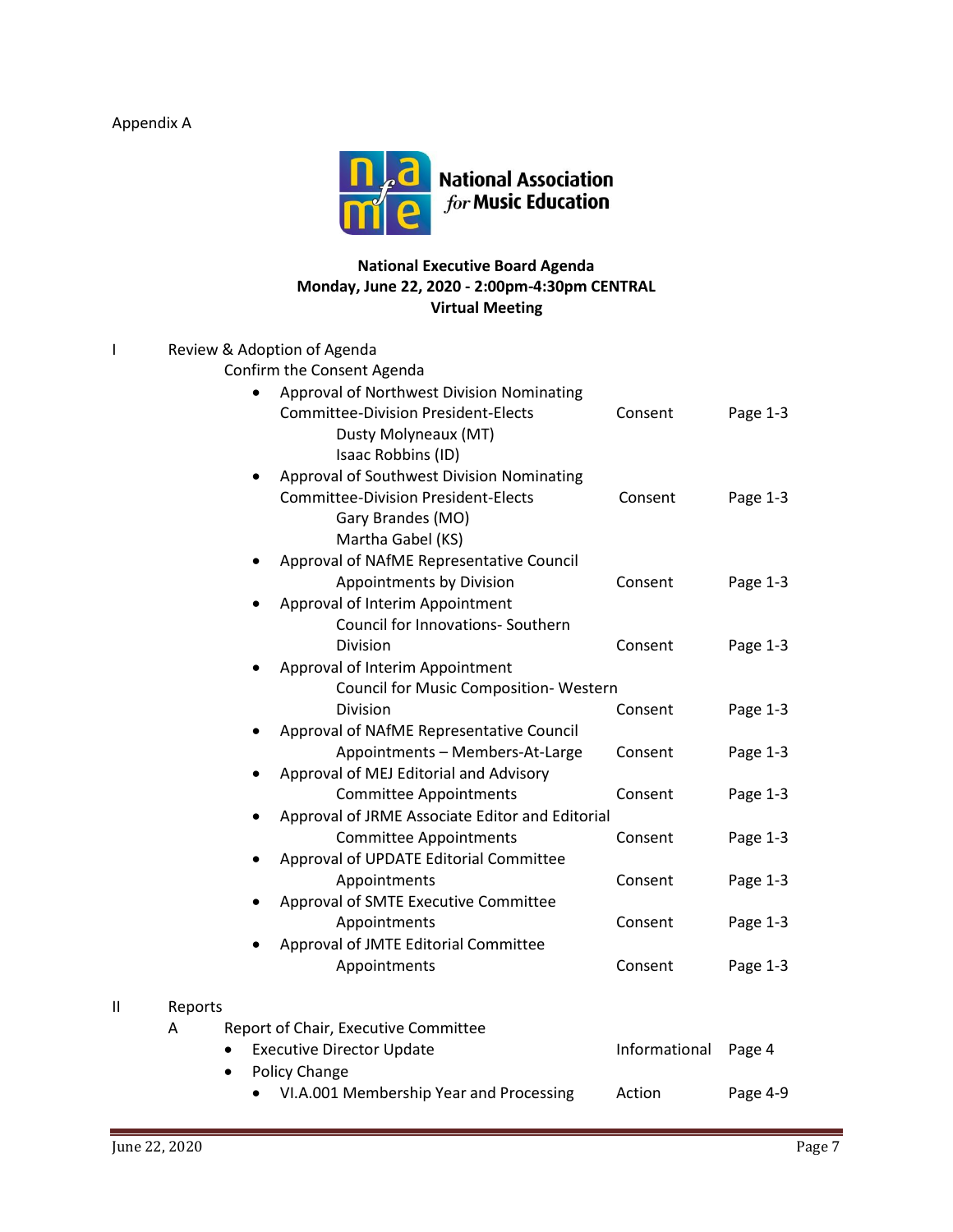# Appendix A



# **National Executive Board Agenda Monday, June 22, 2020 - 2:00pm-4:30pm CENTRAL Virtual Meeting**

| I            |         | Review & Adoption of Agenda                     |               |          |
|--------------|---------|-------------------------------------------------|---------------|----------|
|              |         | Confirm the Consent Agenda                      |               |          |
|              |         | Approval of Northwest Division Nominating       |               |          |
|              |         | <b>Committee-Division President-Elects</b>      | Consent       | Page 1-3 |
|              |         | Dusty Molyneaux (MT)                            |               |          |
|              |         | Isaac Robbins (ID)                              |               |          |
|              |         | Approval of Southwest Division Nominating       |               |          |
|              |         | <b>Committee-Division President-Elects</b>      | Consent       | Page 1-3 |
|              |         | Gary Brandes (MO)                               |               |          |
|              |         | Martha Gabel (KS)                               |               |          |
|              |         | Approval of NAfME Representative Council        |               |          |
|              |         | Appointments by Division                        | Consent       | Page 1-3 |
|              |         | Approval of Interim Appointment                 |               |          |
|              |         | Council for Innovations- Southern               |               |          |
|              |         | Division                                        | Consent       | Page 1-3 |
|              |         | Approval of Interim Appointment                 |               |          |
|              |         | Council for Music Composition-Western           |               |          |
|              |         | Division                                        | Consent       | Page 1-3 |
|              |         | Approval of NAfME Representative Council        |               |          |
|              |         | Appointments - Members-At-Large                 | Consent       | Page 1-3 |
|              |         | Approval of MEJ Editorial and Advisory          |               |          |
|              |         | <b>Committee Appointments</b>                   | Consent       | Page 1-3 |
|              |         | Approval of JRME Associate Editor and Editorial |               |          |
|              |         | <b>Committee Appointments</b>                   | Consent       | Page 1-3 |
|              |         | Approval of UPDATE Editorial Committee          |               |          |
|              |         | Appointments                                    | Consent       | Page 1-3 |
|              |         | Approval of SMTE Executive Committee            |               |          |
|              |         | Appointments                                    | Consent       | Page 1-3 |
|              |         | Approval of JMTE Editorial Committee            |               |          |
|              |         | Appointments                                    | Consent       | Page 1-3 |
|              |         |                                                 |               |          |
| $\mathbf{I}$ | Reports |                                                 |               |          |
|              | A       | Report of Chair, Executive Committee            |               |          |
|              |         | <b>Executive Director Update</b>                | Informational | Page 4   |
|              |         | Policy Change<br>$\bullet$                      |               |          |
|              |         | VI.A.001 Membership Year and Processing         | Action        | Page 4-9 |
|              |         |                                                 |               |          |